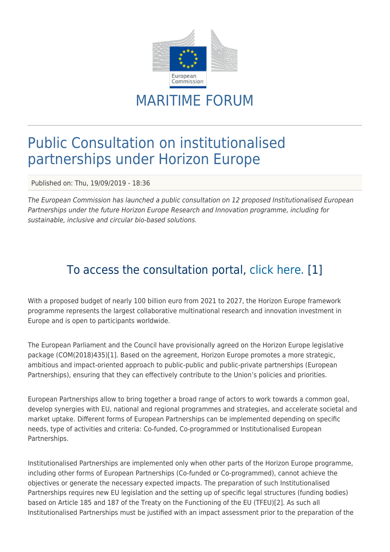

## MARITIME FORUM

## Public Consultation on institutionalised partnerships under Horizon Europe

Published on: Thu, 19/09/2019 - 18:36

The European Commission has launched a public consultation on 12 proposed Institutionalised European Partnerships under the future Horizon Europe Research and Innovation programme, including for sustainable, inclusive and circular bio-based solutions.

## To access the consultation portal, [click here.](https://ec.europa.eu/eusurvey/runner/ConsultationPartnershipsHorizonEurope) [1]

With a proposed budget of nearly 100 billion euro from 2021 to 2027, the Horizon Europe framework programme represents the largest collaborative multinational research and innovation investment in Europe and is open to participants worldwide.

The European Parliament and the Council have provisionally agreed on the Horizon Europe legislative package (COM(2018)435)[1]. Based on the agreement, Horizon Europe promotes a more strategic, ambitious and impact-oriented approach to public-public and public-private partnerships (European Partnerships), ensuring that they can effectively contribute to the Union's policies and priorities.

European Partnerships allow to bring together a broad range of actors to work towards a common goal, develop synergies with EU, national and regional programmes and strategies, and accelerate societal and market uptake. Different forms of European Partnerships can be implemented depending on specific needs, type of activities and criteria: Co-funded, Co-programmed or Institutionalised European Partnerships.

Institutionalised Partnerships are implemented only when other parts of the Horizon Europe programme, including other forms of European Partnerships (Co-funded or Co-programmed), cannot achieve the objectives or generate the necessary expected impacts. The preparation of such Institutionalised Partnerships requires new EU legislation and the setting up of specific legal structures (funding bodies) based on Article 185 and 187 of the Treaty on the Functioning of the EU (TFEU)[2]. As such all Institutionalised Partnerships must be justified with an impact assessment prior to the preparation of the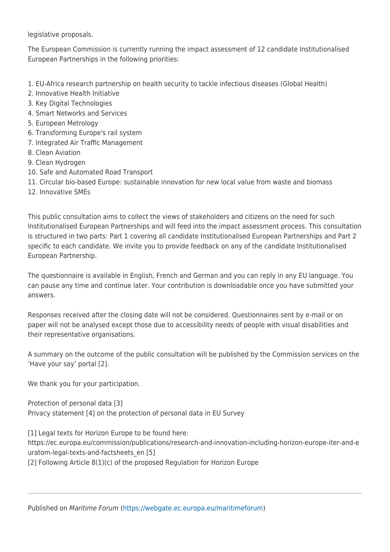legislative proposals.

The European Commission is currently running the impact assessment of 12 candidate Institutionalised European Partnerships in the following priorities:

- 1. EU-Africa research partnership on health security to tackle infectious diseases (Global Health)
- 2. Innovative Health Initiative
- 3. Key Digital Technologies
- 4. Smart Networks and Services
- 5. European Metrology
- 6. Transforming Europe's rail system
- 7. Integrated Air Traffic Management
- 8. Clean Aviation
- 9. Clean Hydrogen
- 10. Safe and Automated Road Transport
- 11. Circular bio-based Europe: sustainable innovation for new local value from waste and biomass
- 12. Innovative SMEs

This public consultation aims to collect the views of stakeholders and citizens on the need for such Institutionalised European Partnerships and will feed into the impact assessment process. This consultation is structured in two parts: Part 1 covering all candidate Institutionalised European Partnerships and Part 2 specific to each candidate. We invite you to provide feedback on any of the candidate Institutionalised European Partnership.

The questionnaire is available in English, French and German and you can reply in any EU language. You can pause any time and continue later. Your contribution is downloadable once you have submitted your answers.

Responses received after the closing date will not be considered. Questionnaires sent by e-mail or on paper will not be analysed except those due to accessibility needs of people with visual disabilities and their representative organisations.

A summary on the outcome of the public consultation will be published by the Commission services on the 'Have your say' portal [2].

We thank you for your participation.

Protection of personal data [3] Privacy statement [4] on the protection of personal data in EU Survey

[1] Legal texts for Horizon Europe to be found here: https://ec.europa.eu/commission/publications/research-and-innovation-including-horizon-europe-iter-and-e uratom-legal-texts-and-factsheets\_en [5] [2] Following Article 8(1)(c) of the proposed Regulation for Horizon Europe